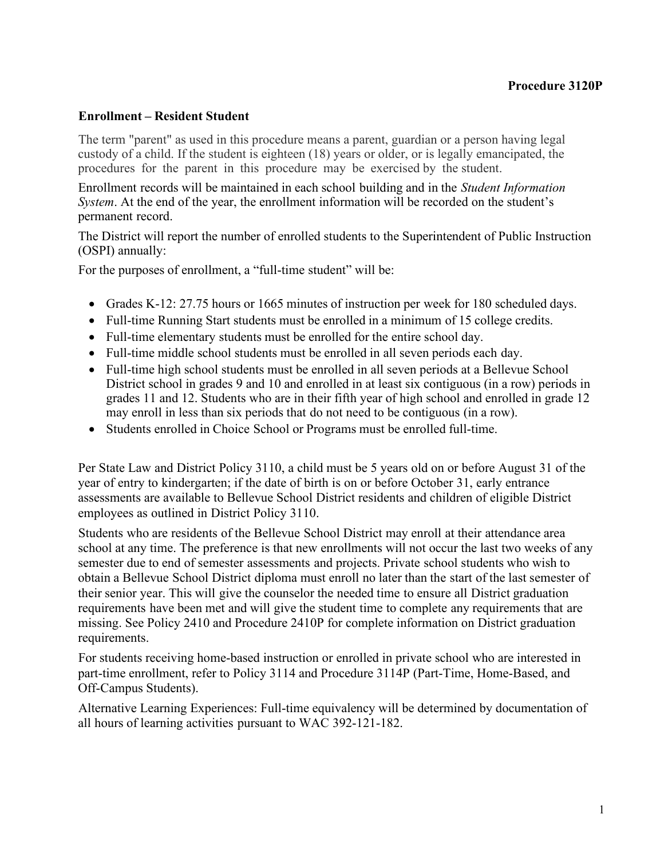#### **Enrollment – Resident Student**

The term "parent" as used in this procedure means a parent, guardian or a person having legal custody of a child. If the student is eighteen (18) years or older, or is legally emancipated, the procedures for the parent in this procedure may be exercised by the student.

Enrollment records will be maintained in each school building and in the *Student Information System*. At the end of the year, the enrollment information will be recorded on the student's permanent record.

The District will report the number of enrolled students to the Superintendent of Public Instruction (OSPI) annually:

For the purposes of enrollment, a "full-time student" will be:

- Grades K-12: 27.75 hours or 1665 minutes of instruction per week for 180 scheduled days.
- Full-time Running Start students must be enrolled in a minimum of 15 college credits.
- Full-time elementary students must be enrolled for the entire school day.
- Full-time middle school students must be enrolled in all seven periods each day.
- Full-time high school students must be enrolled in all seven periods at a Bellevue School District school in grades 9 and 10 and enrolled in at least six contiguous (in a row) periods in grades 11 and 12. Students who are in their fifth year of high school and enrolled in grade 12 may enroll in less than six periods that do not need to be contiguous (in a row).
- Students enrolled in Choice School or Programs must be enrolled full-time.

Per State Law and District Policy 3110, a child must be 5 years old on or before August 31 of the year of entry to kindergarten; if the date of birth is on or before October 31, early entrance assessments are available to Bellevue School District residents and children of eligible District employees as outlined in District Policy 3110.

Students who are residents of the Bellevue School District may enroll at their attendance area school at any time. The preference is that new enrollments will not occur the last two weeks of any semester due to end of semester assessments and projects. Private school students who wish to obtain a Bellevue School District diploma must enroll no later than the start of the last semester of their senior year. This will give the counselor the needed time to ensure all District graduation requirements have been met and will give the student time to complete any requirements that are missing. See Policy 2410 and Procedure 2410P for complete information on District graduation requirements.

For students receiving home-based instruction or enrolled in private school who are interested in part-time enrollment, refer to Policy 3114 and Procedure 3114P (Part-Time, Home-Based, and Off-Campus Students).

Alternative Learning Experiences: Full-time equivalency will be determined by documentation of all hours of learning activities pursuant to WAC 392-121-182.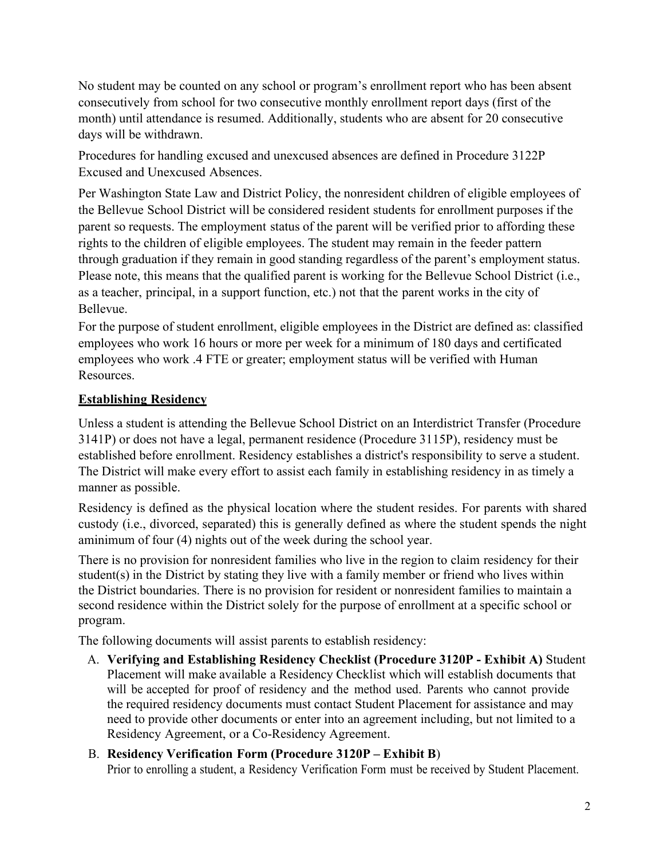No student may be counted on any school or program's enrollment report who has been absent consecutively from school for two consecutive monthly enrollment report days (first of the month) until attendance is resumed. Additionally, students who are absent for 20 consecutive days will be withdrawn.

Procedures for handling excused and unexcused absences are defined in Procedure 3122P Excused and Unexcused Absences.

Per Washington State Law and District Policy, the nonresident children of eligible employees of the Bellevue School District will be considered resident students for enrollment purposes if the parent so requests. The employment status of the parent will be verified prior to affording these rights to the children of eligible employees. The student may remain in the feeder pattern through graduation if they remain in good standing regardless of the parent's employment status. Please note, this means that the qualified parent is working for the Bellevue School District (i.e., as a teacher, principal, in a support function, etc.) not that the parent works in the city of Bellevue.

For the purpose of student enrollment, eligible employees in the District are defined as: classified employees who work 16 hours or more per week for a minimum of 180 days and certificated employees who work .4 FTE or greater; employment status will be verified with Human Resources.

## **Establishing Residency**

Unless a student is attending the Bellevue School District on an Interdistrict Transfer (Procedure 3141P) or does not have a legal, permanent residence (Procedure 3115P), residency must be established before enrollment. Residency establishes a district's responsibility to serve a student. The District will make every effort to assist each family in establishing residency in as timely a manner as possible.

Residency is defined as the physical location where the student resides. For parents with shared custody (i.e., divorced, separated) this is generally defined as where the student spends the night aminimum of four (4) nights out of the week during the school year.

There is no provision for nonresident families who live in the region to claim residency for their student(s) in the District by stating they live with a family member or friend who lives within the District boundaries. There is no provision for resident or nonresident families to maintain a second residence within the District solely for the purpose of enrollment at a specific school or program.

The following documents will assist parents to establish residency:

A. **Verifying and Establishing Residency Checklist (Procedure 3120P - Exhibit A)** Student Placement will make available a Residency Checklist which will establish documents that will be accepted for proof of residency and the method used. Parents who cannot provide the required residency documents must contact Student Placement for assistance and may need to provide other documents or enter into an agreement including, but not limited to a Residency Agreement, or a Co-Residency Agreement.

# B. **Residency Verification Form (Procedure 3120P – Exhibit B**)

Prior to enrolling a student, a Residency Verification Form must be received by Student Placement.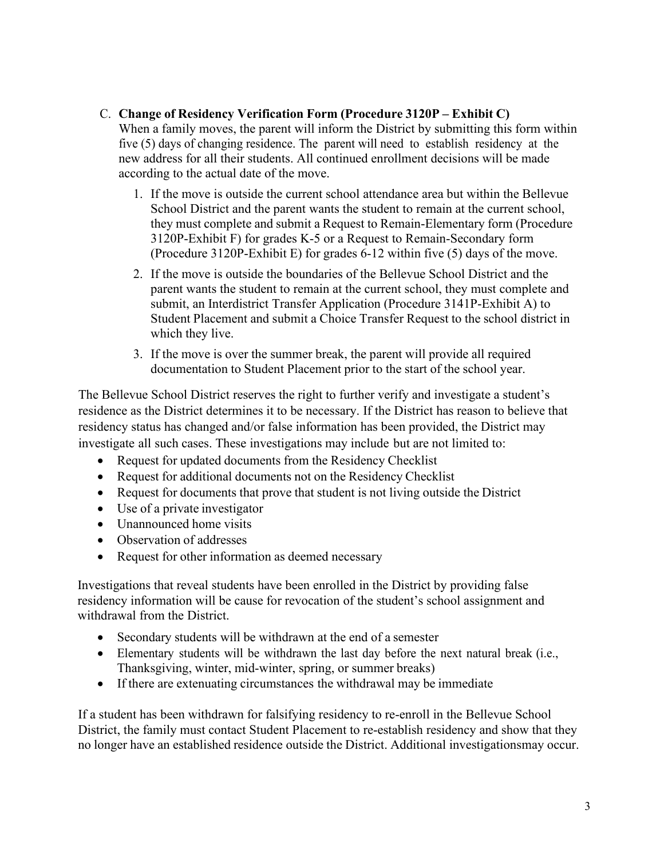# C. **Change of Residency Verification Form (Procedure 3120P – Exhibit C)**

When a family moves, the parent will inform the District by submitting this form within five (5) days of changing residence. The parent will need to establish residency at the new address for all their students. All continued enrollment decisions will be made according to the actual date of the move.

- 1. If the move is outside the current school attendance area but within the Bellevue School District and the parent wants the student to remain at the current school, they must complete and submit a Request to Remain-Elementary form (Procedure 3120P-Exhibit F) for grades K-5 or a Request to Remain-Secondary form (Procedure 3120P-Exhibit E) for grades 6-12 within five (5) days of the move.
- 2. If the move is outside the boundaries of the Bellevue School District and the parent wants the student to remain at the current school, they must complete and submit, an Interdistrict Transfer Application (Procedure 3141P-Exhibit A) to Student Placement and submit a Choice Transfer Request to the school district in which they live.
- 3. If the move is over the summer break, the parent will provide all required documentation to Student Placement prior to the start of the school year.

The Bellevue School District reserves the right to further verify and investigate a student's residence as the District determines it to be necessary. If the District has reason to believe that residency status has changed and/or false information has been provided, the District may investigate all such cases. These investigations may include but are not limited to:

- Request for updated documents from the Residency Checklist
- Request for additional documents not on the Residency Checklist
- Request for documents that prove that student is not living outside the District
- Use of a private investigator
- Unannounced home visits
- Observation of addresses
- Request for other information as deemed necessary

Investigations that reveal students have been enrolled in the District by providing false residency information will be cause for revocation of the student's school assignment and withdrawal from the District.

- Secondary students will be withdrawn at the end of a semester
- Elementary students will be withdrawn the last day before the next natural break (i.e., Thanksgiving, winter, mid-winter, spring, or summer breaks)
- If there are extenuating circumstances the withdrawal may be immediate

If a student has been withdrawn for falsifying residency to re-enroll in the Bellevue School District, the family must contact Student Placement to re-establish residency and show that they no longer have an established residence outside the District. Additional investigationsmay occur.